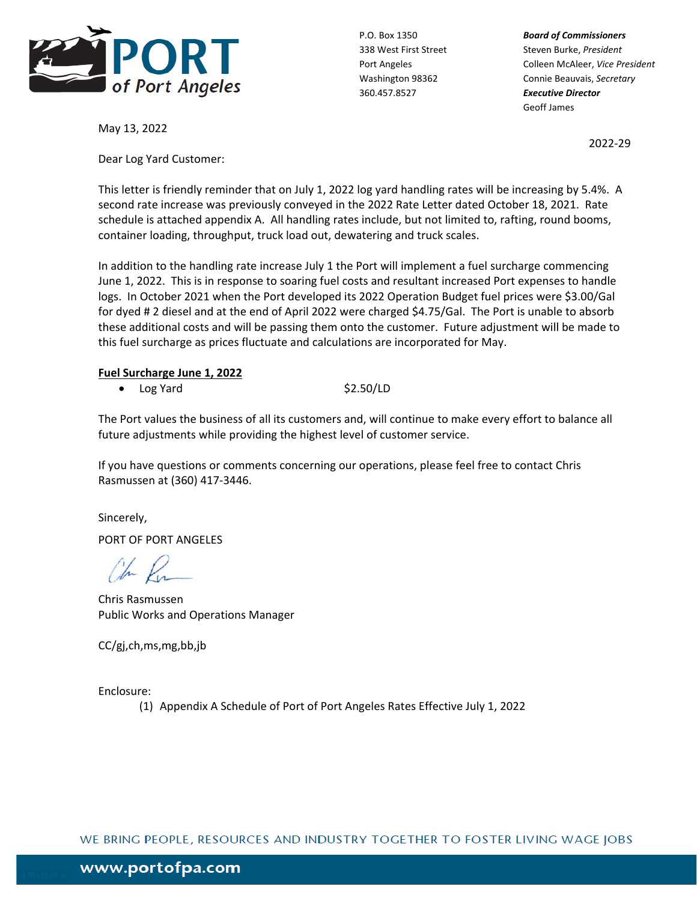

360.457.8527 *Executive Director*

P.O. Box 1350 *Board of Commissioners* 338 West First Street Steven Burke, *President* Port Angeles Colleen McAleer, *Vice President* Washington 98362 Connie Beauvais, *Secretary* Geoff James

2022‐29

May 13, 2022

Dear Log Yard Customer:

This letter is friendly reminder that on July 1, 2022 log yard handling rates will be increasing by 5.4%. A second rate increase was previously conveyed in the 2022 Rate Letter dated October 18, 2021. Rate schedule is attached appendix A. All handling rates include, but not limited to, rafting, round booms, container loading, throughput, truck load out, dewatering and truck scales.

In addition to the handling rate increase July 1 the Port will implement a fuel surcharge commencing June 1, 2022. This is in response to soaring fuel costs and resultant increased Port expenses to handle logs. In October 2021 when the Port developed its 2022 Operation Budget fuel prices were \$3.00/Gal for dyed # 2 diesel and at the end of April 2022 were charged \$4.75/Gal. The Port is unable to absorb these additional costs and will be passing them onto the customer. Future adjustment will be made to this fuel surcharge as prices fluctuate and calculations are incorporated for May.

## **Fuel Surcharge June 1, 2022**

 $\bullet$  Log Yard  $\$2.50/LD$ 

The Port values the business of all its customers and, will continue to make every effort to balance all future adjustments while providing the highest level of customer service.

If you have questions or comments concerning our operations, please feel free to contact Chris Rasmussen at (360) 417‐3446.

Sincerely,

PORT OF PORT ANGELES

Ohn Ru

Chris Rasmussen Public Works and Operations Manager

CC/gj,ch,ms,mg,bb,jb

Enclosure:

(1) Appendix A Schedule of Port of Port Angeles Rates Effective July 1, 2022

WE BRING PEOPLE, RESOURCES AND INDUSTRY TOGETHER TO FOSTER LIVING WAGE JOBS